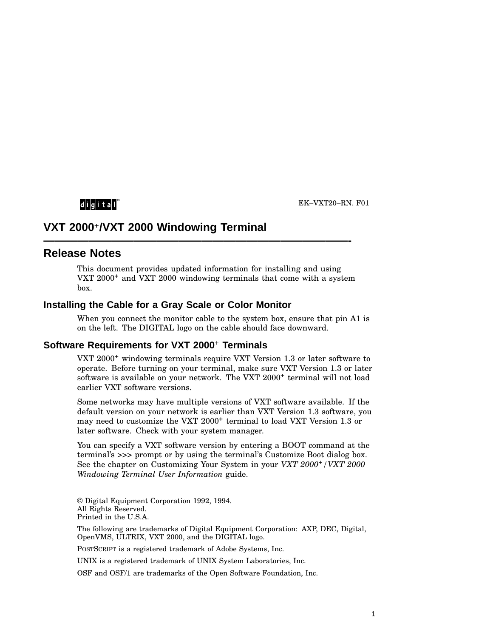## $d$  i  $g$  i  $t$  all

EK–VXT20–RN. F01

# **VXT 2000**+**/VXT 2000 Windowing Terminal**

## **Release Notes**

This document provides updated information for installing and using VXT 2000<sup>+</sup> and VXT 2000 windowing terminals that come with a system box.

**———————————————————————————-**

#### **Installing the Cable for a Gray Scale or Color Monitor**

When you connect the monitor cable to the system box, ensure that pin A1 is on the left. The DIGITAL logo on the cable should face downward.

#### **Software Requirements for VXT 2000**<sup>+</sup> **Terminals**

VXT 2000<sup>+</sup> windowing terminals require VXT Version 1.3 or later software to operate. Before turning on your terminal, make sure VXT Version 1.3 or later software is available on your network. The VXT 2000<sup>+</sup> terminal will not load earlier VXT software versions.

Some networks may have multiple versions of VXT software available. If the default version on your network is earlier than VXT Version 1.3 software, you may need to customize the VXT 2000<sup>+</sup> terminal to load VXT Version 1.3 or later software. Check with your system manager.

You can specify a VXT software version by entering a BOOT command at the terminal's >>> prompt or by using the terminal's Customize Boot dialog box. See the chapter on Customizing Your System in your *VXT 2000*+*/VXT 2000 Windowing Terminal User Information* guide.

© Digital Equipment Corporation 1992, 1994. All Rights Reserved. Printed in the U.S.A.

The following are trademarks of Digital Equipment Corporation: AXP, DEC, Digital, OpenVMS, ULTRIX, VXT 2000, and the DIGITAL logo.

POSTSCRIPT is a registered trademark of Adobe Systems, Inc.

UNIX is a registered trademark of UNIX System Laboratories, Inc.

OSF and OSF/1 are trademarks of the Open Software Foundation, Inc.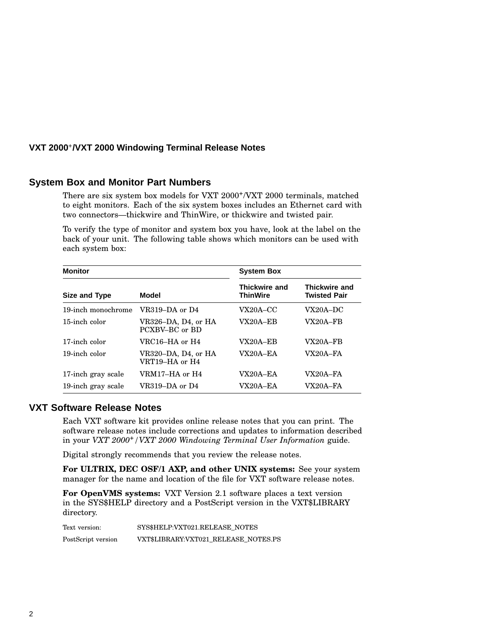#### **VXT 2000**<sup>+</sup> **/VXT 2000 Windowing Terminal Release Notes**

#### **System Box and Monitor Part Numbers**

There are six system box models for VXT 2000<sup>+</sup>/VXT 2000 terminals, matched to eight monitors. Each of the six system boxes includes an Ethernet card with two connectors—thickwire and ThinWire, or thickwire and twisted pair.

To verify the type of monitor and system box you have, look at the label on the back of your unit. The following table shows which monitors can be used with each system box:

| <b>Monitor</b>     |                                       | <b>System Box</b>                |                                             |
|--------------------|---------------------------------------|----------------------------------|---------------------------------------------|
| Size and Type      | Model                                 | Thickwire and<br><b>ThinWire</b> | <b>Thickwire and</b><br><b>Twisted Pair</b> |
| 19-inch monochrome | VR319–DA or D4                        | $VX20A-CC$                       | $VX20A-DC$                                  |
| 15-inch color      | VR326-DA, D4, or HA<br>PCXBV-BC or BD | <b>VX20A–EB</b>                  | VX20A-FB                                    |
| 17-inch color      | VRC16–HA or H4                        | $VX20A - EB$                     | $VX20A - FB$                                |
| 19-inch color      | VR320–DA, D4, or HA<br>VRT19–HA or H4 | $VX20A - EA$                     | $VX20A - FA$                                |
| 17-inch gray scale | VRM17–HA or H4                        | VX20A–EA                         | $VX20A - FA$                                |
| 19-inch gray scale | VR319–DA or D4                        | VX20A–EA                         | <b>VX20A–FA</b>                             |

### **VXT Software Release Notes**

Each VXT software kit provides online release notes that you can print. The software release notes include corrections and updates to information described in your *VXT 2000*+*/VXT 2000 Windowing Terminal User Information* guide.

Digital strongly recommends that you review the release notes.

**For ULTRIX, DEC OSF/1 AXP, and other UNIX systems:** See your system manager for the name and location of the file for VXT software release notes.

**For OpenVMS systems:** VXT Version 2.1 software places a text version in the SYS\$HELP directory and a PostScript version in the VXT\$LIBRARY directory.

Text version: SYS\$HELP:VXT021.RELEASE\_NOTES PostScript version VXT\$LIBRARY:VXT021\_RELEASE\_NOTES.PS